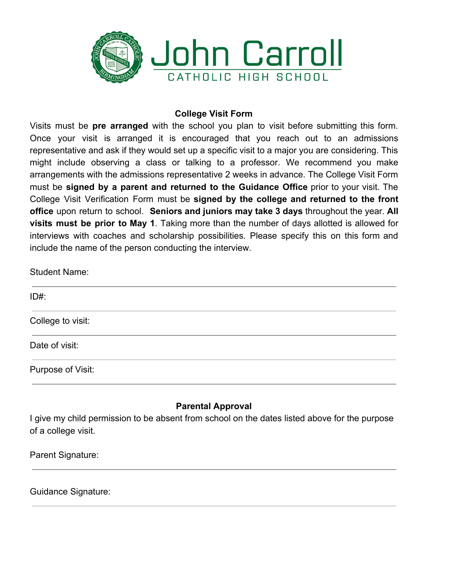

## **College Visit Form**

Visits must be **pre arranged** with the school you plan to visit before submitting this form. Once your visit is arranged it is encouraged that you reach out to an admissions representative and ask if they would set up a specific visit to a major you are considering. This might include observing a class or talking to a professor. We recommend you make arrangements with the admissions representative 2 weeks in advance. The College Visit Form must be **signed by a parent and returned to the Guidance Office** prior to your visit. The College Visit Verification Form must be **signed by the college and returned to the front office** upon return to school. **Seniors and juniors may take 3 days** throughout the year. **All visits must be prior to May 1**. Taking more than the number of days allotted is allowed for interviews with coaches and scholarship possibilities. Please specify this on this form and include the name of the person conducting the interview.

Student Name:

| $ID#$ :           |  |  |
|-------------------|--|--|
| College to visit: |  |  |
| Date of visit:    |  |  |
| Purpose of Visit: |  |  |

## **Parental Approval**

I give my child permission to be absent from school on the dates listed above for the purpose of a college visit.

Parent Signature:

Guidance Signature: